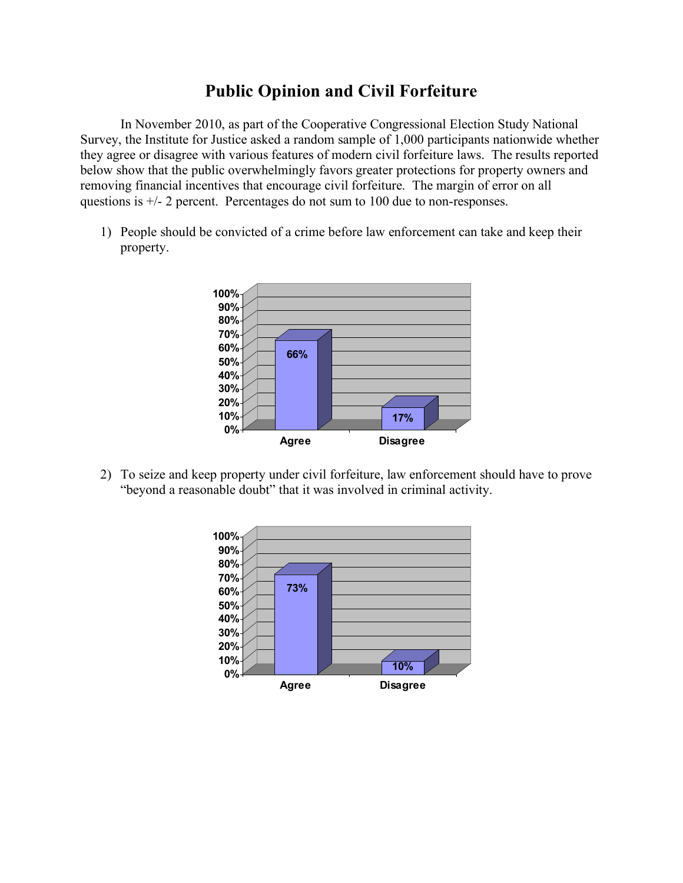## **Public Opinion and Civil Forfeiture**

In November 2010, as part of the Cooperative Congressional Election Study National Survey, the Institute for Justice asked a random sample of 1,000 participants nationwide whether they agree or disagree with various features of modern civil forfeiture laws. The results reported below show that the public overwhelmingly favors greater protections for property owners and removing financial incentives that encourage civil forfeiture. The margin of error on all questions is +/- 2 percent. Percentages do not sum to 100 due to non-responses.

1) People should be convicted of a crime before law enforcement can take and keep their property.



2) To seize and keep property under civil forfeiture, law enforcement should have to prove "beyond a reasonable doubt" that it was involved in criminal activity.